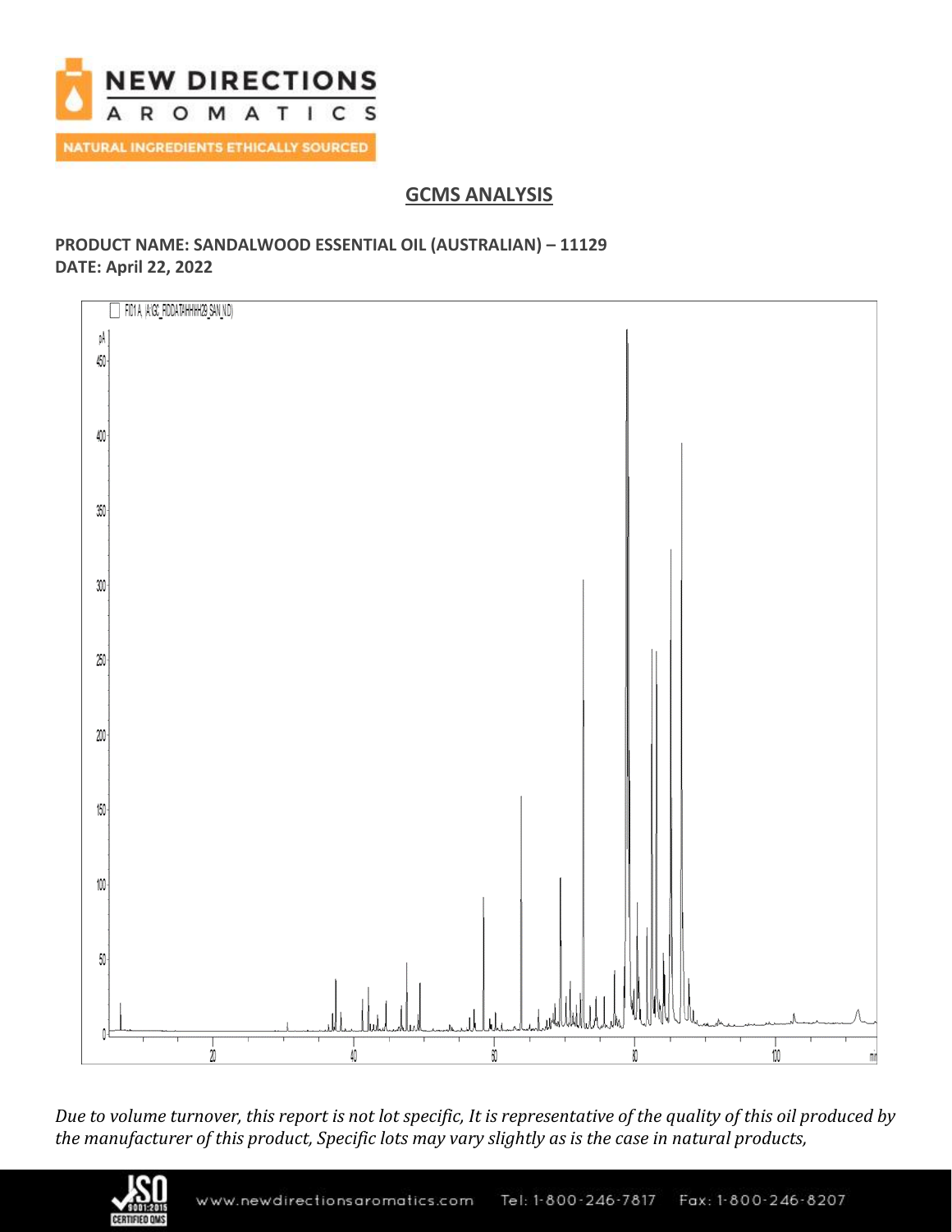

# **GCMS ANALYSIS**

## **PRODUCT NAME: SANDALWOOD ESSENTIAL OIL (AUSTRALIAN) – 11129 DATE: April 22, 2022**



*Due to volume turnover, this report is not lot specific, It is representative of the quality of this oil produced by the manufacturer of this product, Specific lots may vary slightly as is the case in natural products,*

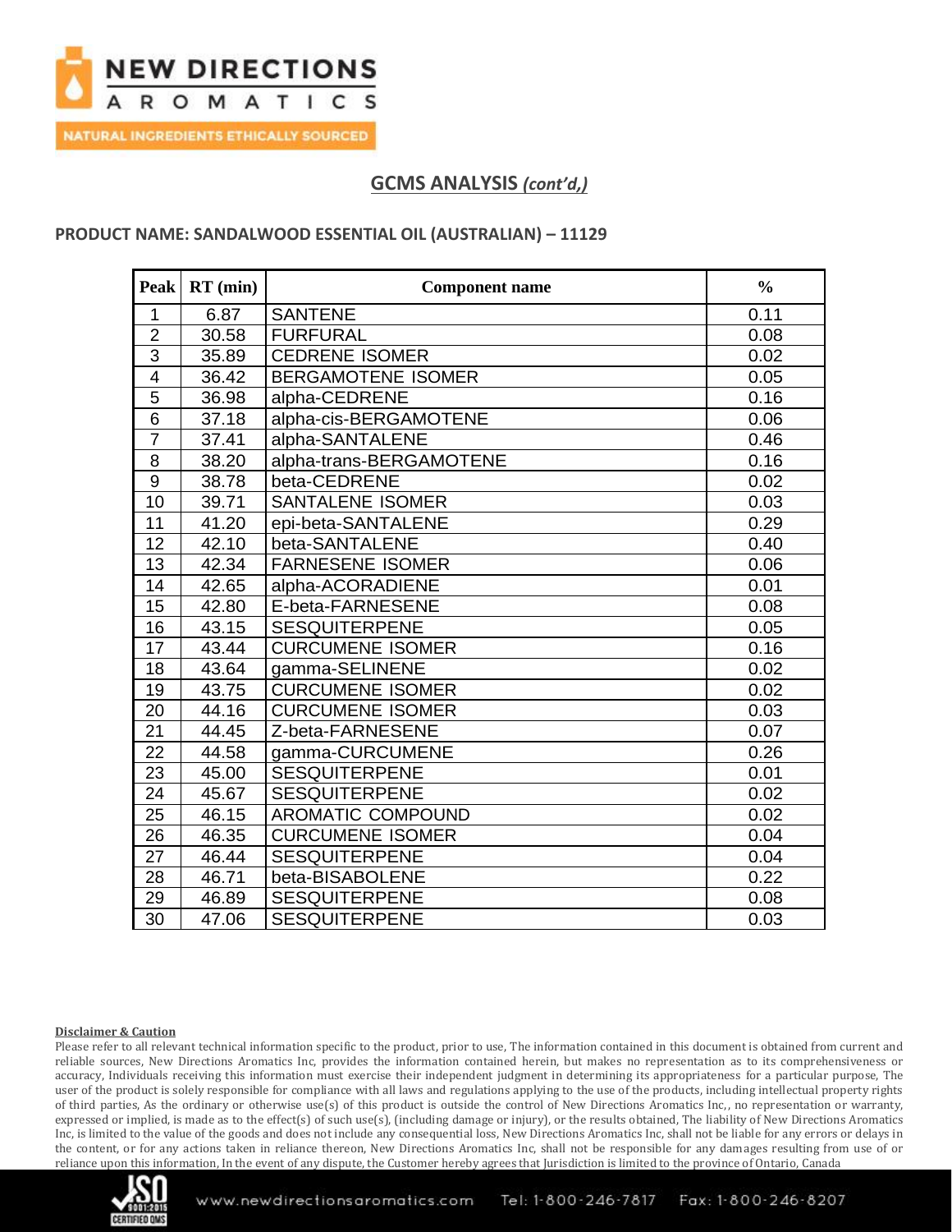

## **GCMS ANALYSIS** *(cont'd,)*

### **PRODUCT NAME: SANDALWOOD ESSENTIAL OIL (AUSTRALIAN) – 11129**

| <b>Peak</b>             | $RT$ (min) | <b>Component name</b>     | $\frac{0}{0}$ |
|-------------------------|------------|---------------------------|---------------|
| $\mathbf{1}$            | 6.87       | <b>SANTENE</b>            | 0.11          |
| $\overline{2}$          | 30.58      | <b>FURFURAL</b>           | 0.08          |
| $\overline{3}$          | 35.89      | <b>CEDRENE ISOMER</b>     | 0.02          |
| $\overline{\mathbf{4}}$ | 36.42      | <b>BERGAMOTENE ISOMER</b> | 0.05          |
| $\overline{5}$          | 36.98      | alpha-CEDRENE             | 0.16          |
| $\overline{6}$          | 37.18      | alpha-cis-BERGAMOTENE     | 0.06          |
| $\overline{7}$          | 37.41      | alpha-SANTALENE           | 0.46          |
| 8                       | 38.20      | alpha-trans-BERGAMOTENE   | 0.16          |
| $\overline{9}$          | 38.78      | beta-CEDRENE              | 0.02          |
| 10                      | 39.71      | <b>SANTALENE ISOMER</b>   | 0.03          |
| 11                      | 41.20      | epi-beta-SANTALENE        | 0.29          |
| 12                      | 42.10      | beta-SANTALENE            | 0.40          |
| 13                      | 42.34      | <b>FARNESENE ISOMER</b>   | 0.06          |
| 14                      | 42.65      | alpha-ACORADIENE          | 0.01          |
| 15                      | 42.80      | E-beta-FARNESENE          | 0.08          |
| 16                      | 43.15      | <b>SESQUITERPENE</b>      | 0.05          |
| 17                      | 43.44      | <b>CURCUMENE ISOMER</b>   | 0.16          |
| 18                      | 43.64      | gamma-SELINENE            | 0.02          |
| 19                      | 43.75      | <b>CURCUMENE ISOMER</b>   | 0.02          |
| 20                      | 44.16      | <b>CURCUMENE ISOMER</b>   | 0.03          |
| 21                      | 44.45      | Z-beta-FARNESENE          | 0.07          |
| 22                      | 44.58      | gamma-CURCUMENE           | 0.26          |
| 23                      | 45.00      | <b>SESQUITERPENE</b>      | 0.01          |
| 24                      | 45.67      | <b>SESQUITERPENE</b>      | 0.02          |
| 25                      | 46.15      | AROMATIC COMPOUND         | 0.02          |
| 26                      | 46.35      | <b>CURCUMENE ISOMER</b>   | 0.04          |
| 27                      | 46.44      | <b>SESQUITERPENE</b>      | 0.04          |
| 28                      | 46.71      | beta-BISABOLENE           | 0.22          |
| 29                      | 46.89      | <b>SESQUITERPENE</b>      | 0.08          |
| 30                      | 47.06      | <b>SESQUITERPENE</b>      | 0.03          |

### **Disclaimer & Caution**

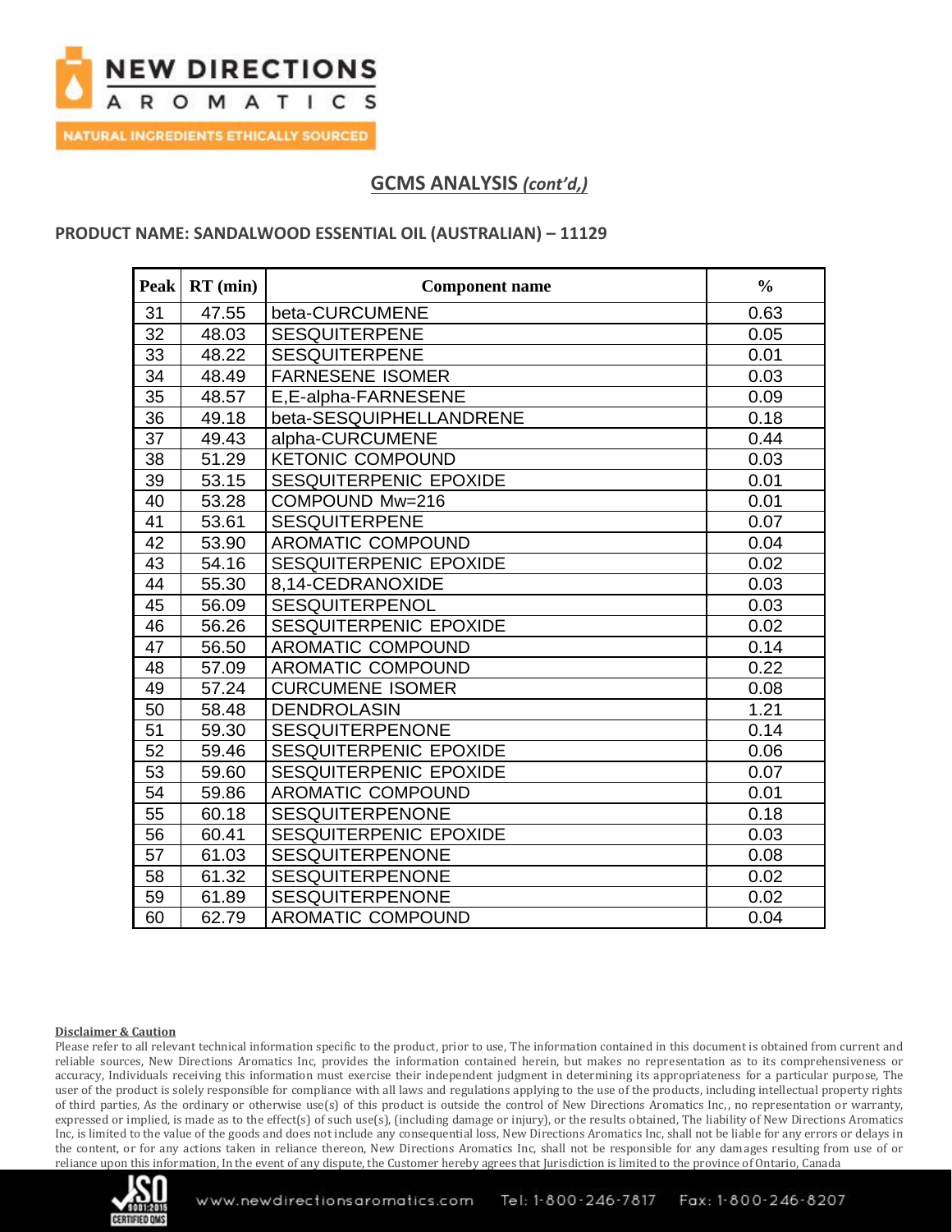

## **GCMS ANALYSIS** *(cont'd,)*

### **PRODUCT NAME: SANDALWOOD ESSENTIAL OIL (AUSTRALIAN) – 11129**

| <b>Peak</b> | $RT$ (min) | <b>Component name</b>    | $\frac{0}{0}$ |
|-------------|------------|--------------------------|---------------|
| 31          | 47.55      | beta-CURCUMENE           | 0.63          |
| 32          | 48.03      | <b>SESQUITERPENE</b>     | 0.05          |
| 33          | 48.22      | <b>SESQUITERPENE</b>     | 0.01          |
| 34          | 48.49      | <b>FARNESENE ISOMER</b>  | 0.03          |
| 35          | 48.57      | E,E-alpha-FARNESENE      | 0.09          |
| 36          | 49.18      | beta-SESQUIPHELLANDRENE  | 0.18          |
| 37          | 49.43      | alpha-CURCUMENE          | 0.44          |
| 38          | 51.29      | <b>KETONIC COMPOUND</b>  | 0.03          |
| 39          | 53.15      | SESQUITERPENIC EPOXIDE   | 0.01          |
| 40          | 53.28      | COMPOUND Mw=216          | 0.01          |
| 41          | 53.61      | <b>SESQUITERPENE</b>     | 0.07          |
| 42          | 53.90      | <b>AROMATIC COMPOUND</b> | 0.04          |
| 43          | 54.16      | SESQUITERPENIC EPOXIDE   | 0.02          |
| 44          | 55.30      | 8,14-CEDRANOXIDE         | 0.03          |
| 45          | 56.09      | <b>SESQUITERPENOL</b>    | 0.03          |
| 46          | 56.26      | SESQUITERPENIC EPOXIDE   | 0.02          |
| 47          | 56.50      | <b>AROMATIC COMPOUND</b> | 0.14          |
| 48          | 57.09      | AROMATIC COMPOUND        | 0.22          |
| 49          | 57.24      | <b>CURCUMENE ISOMER</b>  | 0.08          |
| 50          | 58.48      | <b>DENDROLASIN</b>       | 1.21          |
| 51          | 59.30      | <b>SESQUITERPENONE</b>   | 0.14          |
| 52          | 59.46      | SESQUITERPENIC EPOXIDE   | 0.06          |
| 53          | 59.60      | SESQUITERPENIC EPOXIDE   | 0.07          |
| 54          | 59.86      | <b>AROMATIC COMPOUND</b> | 0.01          |
| 55          | 60.18      | <b>SESQUITERPENONE</b>   | 0.18          |
| 56          | 60.41      | SESQUITERPENIC EPOXIDE   | 0.03          |
| 57          | 61.03      | <b>SESQUITERPENONE</b>   | 0.08          |
| 58          | 61.32      | <b>SESQUITERPENONE</b>   | 0.02          |
| 59          | 61.89      | <b>SESQUITERPENONE</b>   | 0.02          |
| 60          | 62.79      | <b>AROMATIC COMPOUND</b> | 0.04          |

#### **Disclaimer & Caution**

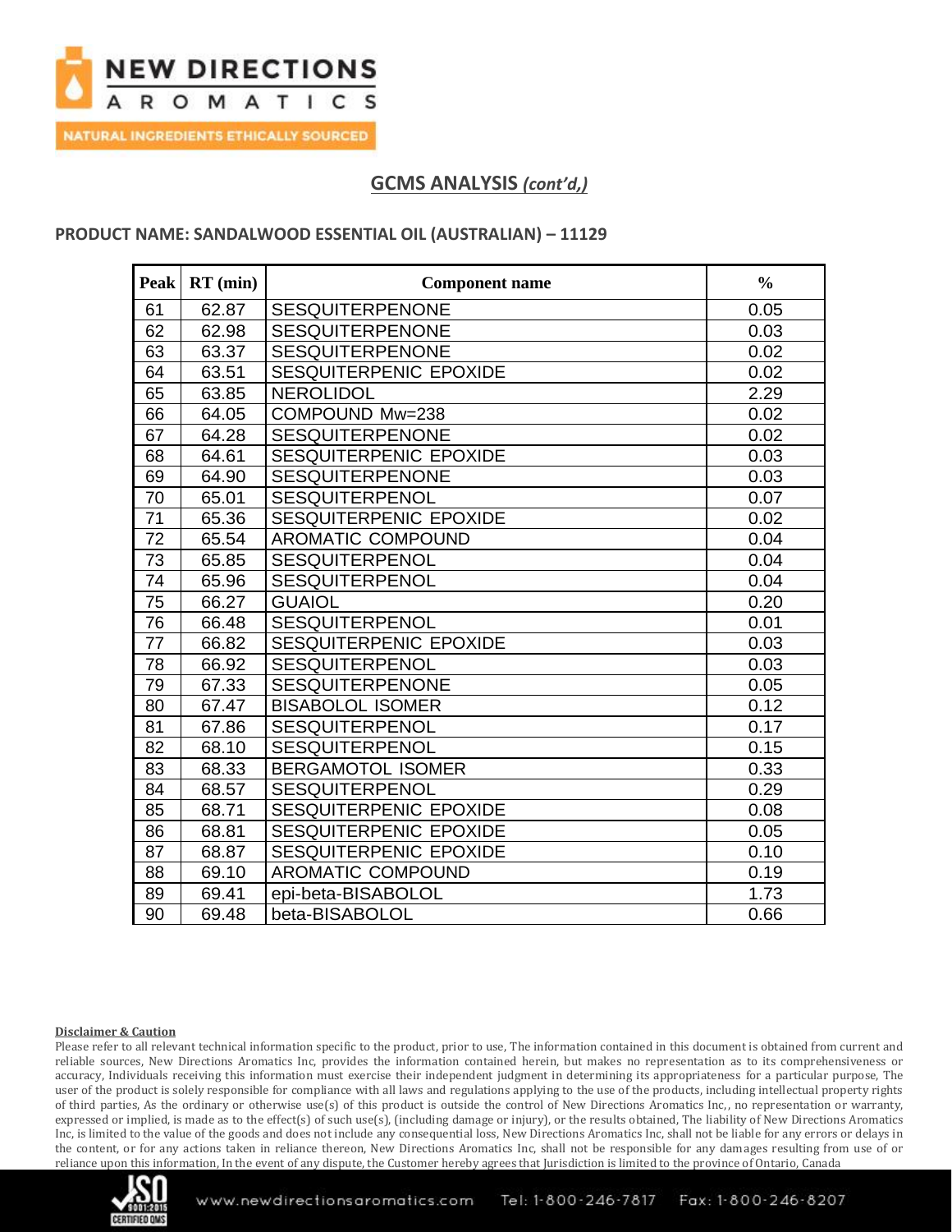

# **GCMS ANALYSIS** *(cont'd,)*

### **PRODUCT NAME: SANDALWOOD ESSENTIAL OIL (AUSTRALIAN) – 11129**

| <b>Peak</b> | $RT$ (min) | <b>Component name</b>    | $\frac{0}{0}$ |
|-------------|------------|--------------------------|---------------|
| 61          | 62.87      | <b>SESQUITERPENONE</b>   | 0.05          |
| 62          | 62.98      | <b>SESQUITERPENONE</b>   | 0.03          |
| 63          | 63.37      | <b>SESQUITERPENONE</b>   | 0.02          |
| 64          | 63.51      | SESQUITERPENIC EPOXIDE   | 0.02          |
| 65          | 63.85      | <b>NEROLIDOL</b>         | 2.29          |
| 66          | 64.05      | COMPOUND Mw=238          | 0.02          |
| 67          | 64.28      | <b>SESQUITERPENONE</b>   | 0.02          |
| 68          | 64.61      | SESQUITERPENIC EPOXIDE   | 0.03          |
| 69          | 64.90      | <b>SESQUITERPENONE</b>   | 0.03          |
| 70          | 65.01      | <b>SESQUITERPENOL</b>    | 0.07          |
| 71          | 65.36      | SESQUITERPENIC EPOXIDE   | 0.02          |
| 72          | 65.54      | <b>AROMATIC COMPOUND</b> | 0.04          |
| 73          | 65.85      | <b>SESQUITERPENOL</b>    | 0.04          |
| 74          | 65.96      | <b>SESQUITERPENOL</b>    | 0.04          |
| 75          | 66.27      | <b>GUAIOL</b>            | 0.20          |
| 76          | 66.48      | SESQUITERPENOL           | 0.01          |
| 77          | 66.82      | SESQUITERPENIC EPOXIDE   | 0.03          |
| 78          | 66.92      | <b>SESQUITERPENOL</b>    | 0.03          |
| 79          | 67.33      | <b>SESQUITERPENONE</b>   | 0.05          |
| 80          | 67.47      | <b>BISABOLOL ISOMER</b>  | 0.12          |
| 81          | 67.86      | <b>SESQUITERPENOL</b>    | 0.17          |
| 82          | 68.10      | <b>SESQUITERPENOL</b>    | 0.15          |
| 83          | 68.33      | <b>BERGAMOTOL ISOMER</b> | 0.33          |
| 84          | 68.57      | <b>SESQUITERPENOL</b>    | 0.29          |
| 85          | 68.71      | SESQUITERPENIC EPOXIDE   | 0.08          |
| 86          | 68.81      | SESQUITERPENIC EPOXIDE   | 0.05          |
| 87          | 68.87      | SESQUITERPENIC EPOXIDE   | 0.10          |
| 88          | 69.10      | <b>AROMATIC COMPOUND</b> | 0.19          |
| 89          | 69.41      | epi-beta-BISABOLOL       | 1.73          |
| 90          | 69.48      | beta-BISABOLOL           | 0.66          |

### **Disclaimer & Caution**

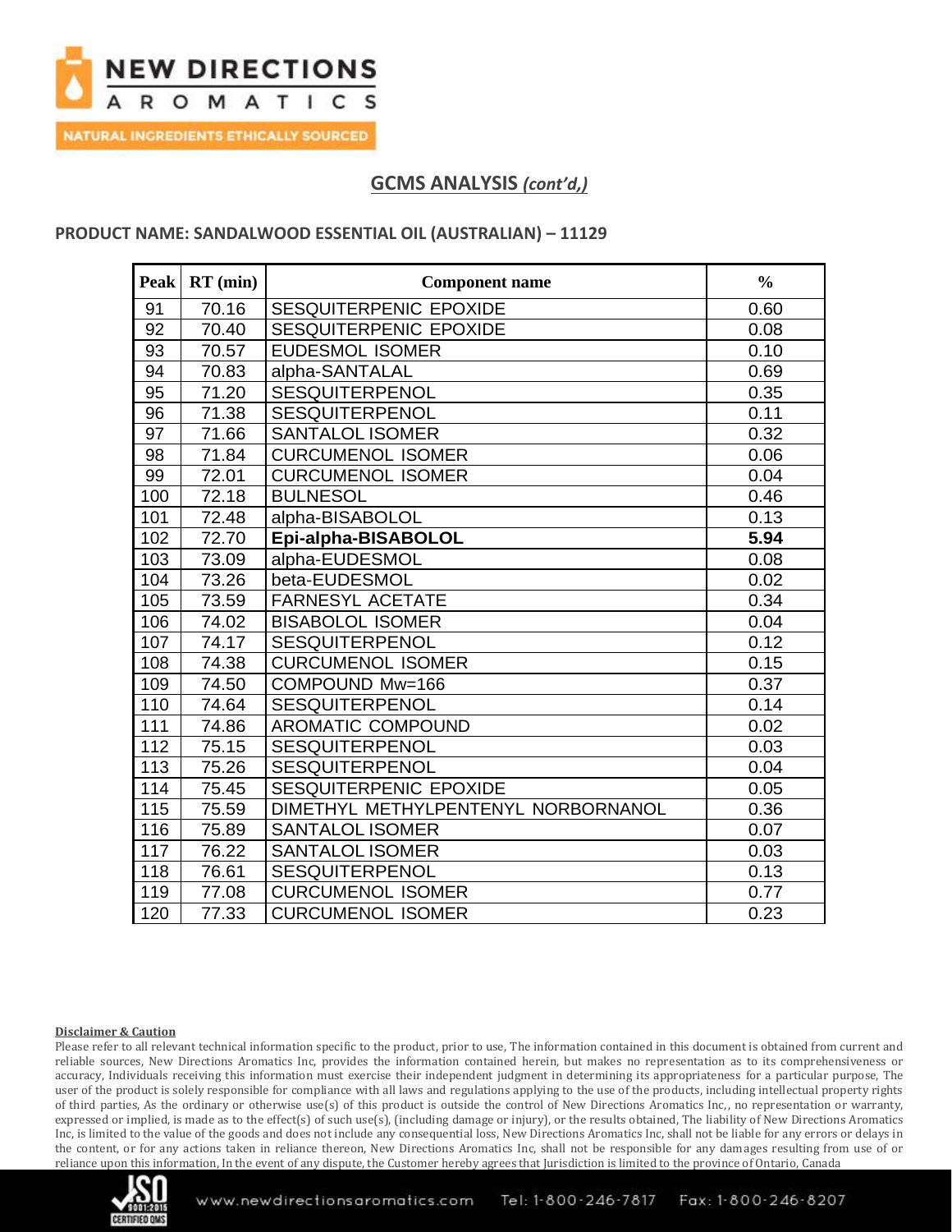

## **GCMS ANALYSIS** *(cont'd,)*

### **PRODUCT NAME: SANDALWOOD ESSENTIAL OIL (AUSTRALIAN) – 11129**

| <b>Peak</b> | $RT$ (min) | <b>Component name</b>               | $\frac{0}{0}$ |
|-------------|------------|-------------------------------------|---------------|
| 91          | 70.16      | SESQUITERPENIC EPOXIDE              | 0.60          |
| 92          | 70.40      | SESQUITERPENIC EPOXIDE              | 0.08          |
| 93          | 70.57      | <b>EUDESMOL ISOMER</b>              | 0.10          |
| 94          | 70.83      | alpha-SANTALAL                      | 0.69          |
| 95          | 71.20      | SESQUITERPENOL                      | 0.35          |
| 96          | 71.38      | <b>SESQUITERPENOL</b>               | 0.11          |
| 97          | 71.66      | <b>SANTALOL ISOMER</b>              | 0.32          |
| 98          | 71.84      | <b>CURCUMENOL ISOMER</b>            | 0.06          |
| 99          | 72.01      | <b>CURCUMENOL ISOMER</b>            | 0.04          |
| 100         | 72.18      | <b>BULNESOL</b>                     | 0.46          |
| 101         | 72.48      | alpha-BISABOLOL                     | 0.13          |
| 102         | 72.70      | Epi-alpha-BISABOLOL                 | 5.94          |
| 103         | 73.09      | alpha-EUDESMOL                      | 0.08          |
| 104         | 73.26      | beta-EUDESMOL                       | 0.02          |
| 105         | 73.59      | <b>FARNESYL ACETATE</b>             | 0.34          |
| 106         | 74.02      | <b>BISABOLOL ISOMER</b>             | 0.04          |
| 107         | 74.17      | <b>SESQUITERPENOL</b>               | 0.12          |
| 108         | 74.38      | <b>CURCUMENOL ISOMER</b>            | 0.15          |
| 109         | 74.50      | COMPOUND Mw=166                     | 0.37          |
| 110         | 74.64      | <b>SESQUITERPENOL</b>               | 0.14          |
| 111         | 74.86      | AROMATIC COMPOUND                   | 0.02          |
| 112         | 75.15      | SESQUITERPENOL                      | 0.03          |
| 113         | 75.26      | <b>SESQUITERPENOL</b>               | 0.04          |
| 114         | 75.45      | SESQUITERPENIC EPOXIDE              | 0.05          |
| 115         | 75.59      | DIMETHYL METHYLPENTENYL NORBORNANOL | 0.36          |
| 116         | 75.89      | <b>SANTALOL ISOMER</b>              | 0.07          |
| 117         | 76.22      | <b>SANTALOL ISOMER</b>              | 0.03          |
| 118         | 76.61      | <b>SESQUITERPENOL</b>               | 0.13          |
| 119         | 77.08      | <b>CURCUMENOL ISOMER</b>            | 0.77          |
| 120         | 77.33      | <b>CURCUMENOL ISOMER</b>            | 0.23          |

#### **Disclaimer & Caution**

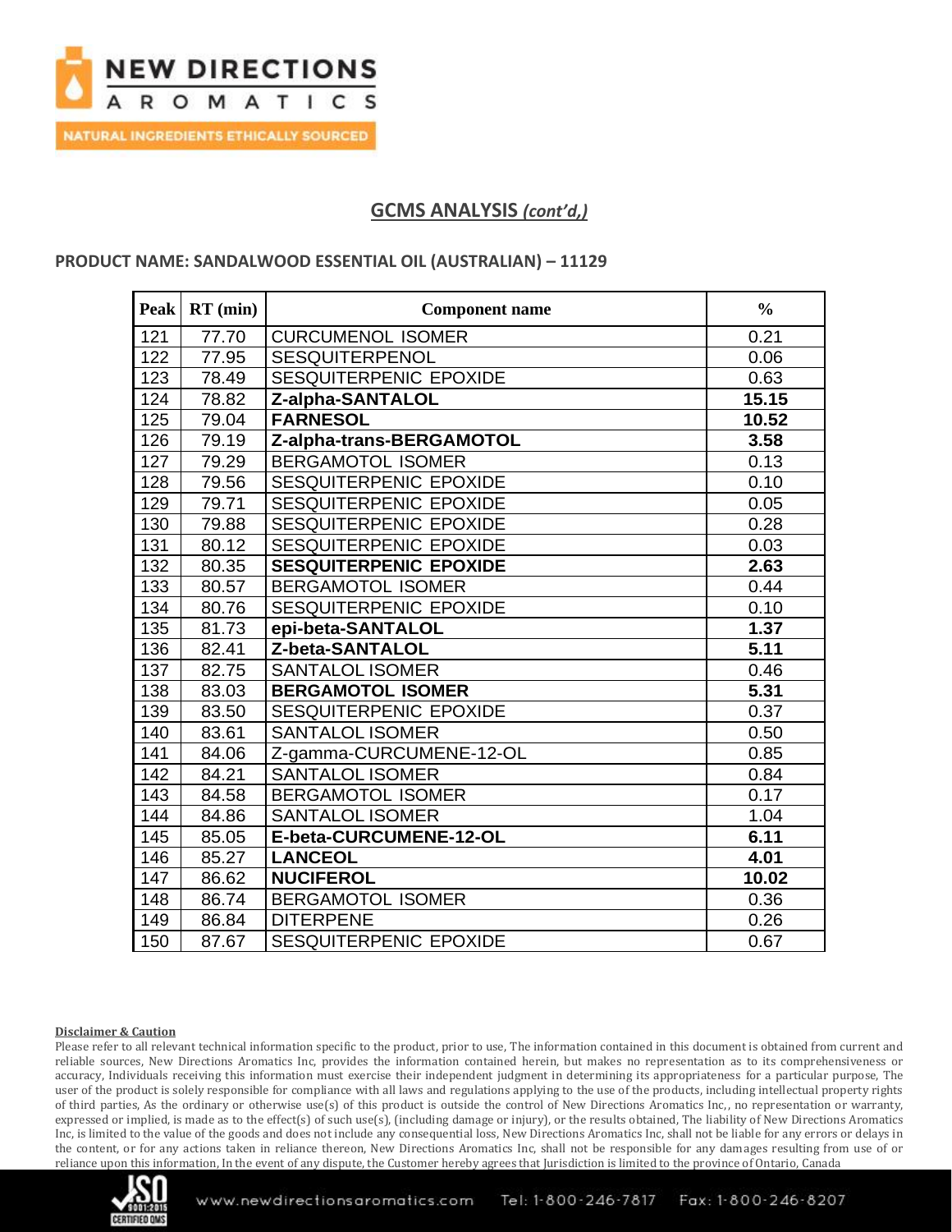

## **GCMS ANALYSIS** *(cont'd,)*

### **PRODUCT NAME: SANDALWOOD ESSENTIAL OIL (AUSTRALIAN) – 11129**

| <b>Peak</b> | $RT$ (min) | <b>Component name</b>         | $\frac{0}{0}$ |
|-------------|------------|-------------------------------|---------------|
| 121         | 77.70      | <b>CURCUMENOL ISOMER</b>      | 0.21          |
| 122         | 77.95      | <b>SESQUITERPENOL</b>         | 0.06          |
| 123         | 78.49      | SESQUITERPENIC EPOXIDE        | 0.63          |
| 124         | 78.82      | Z-alpha-SANTALOL              | 15.15         |
| 125         | 79.04      | <b>FARNESOL</b>               | 10.52         |
| 126         | 79.19      | Z-alpha-trans-BERGAMOTOL      | 3.58          |
| 127         | 79.29      | <b>BERGAMOTOL ISOMER</b>      | 0.13          |
| 128         | 79.56      | SESQUITERPENIC EPOXIDE        | 0.10          |
| 129         | 79.71      | SESQUITERPENIC EPOXIDE        | 0.05          |
| 130         | 79.88      | SESQUITERPENIC EPOXIDE        | 0.28          |
| 131         | 80.12      | SESQUITERPENIC EPOXIDE        | 0.03          |
| 132         | 80.35      | <b>SESQUITERPENIC EPOXIDE</b> | 2.63          |
| 133         | 80.57      | <b>BERGAMOTOL ISOMER</b>      | 0.44          |
| 134         | 80.76      | SESQUITERPENIC EPOXIDE        | 0.10          |
| 135         | 81.73      | epi-beta-SANTALOL             | 1.37          |
| 136         | 82.41      | Z-beta-SANTALOL               | 5.11          |
| 137         | 82.75      | <b>SANTALOL ISOMER</b>        | 0.46          |
| 138         | 83.03      | <b>BERGAMOTOL ISOMER</b>      | 5.31          |
| 139         | 83.50      | SESQUITERPENIC EPOXIDE        | 0.37          |
| 140         | 83.61      | <b>SANTALOL ISOMER</b>        | 0.50          |
| 141         | 84.06      | Z-gamma-CURCUMENE-12-OL       | 0.85          |
| 142         | 84.21      | <b>SANTALOL ISOMER</b>        | 0.84          |
| 143         | 84.58      | <b>BERGAMOTOL ISOMER</b>      | 0.17          |
| 144         | 84.86      | <b>SANTALOL ISOMER</b>        | 1.04          |
| 145         | 85.05      | E-beta-CURCUMENE-12-OL        | 6.11          |
| 146         | 85.27      | <b>LANCEOL</b>                | 4.01          |
| 147         | 86.62      | <b>NUCIFEROL</b>              | 10.02         |
| 148         | 86.74      | <b>BERGAMOTOL ISOMER</b>      | 0.36          |
| 149         | 86.84      | <b>DITERPENE</b>              | 0.26          |
| 150         | 87.67      | SESQUITERPENIC EPOXIDE        | 0.67          |

### **Disclaimer & Caution**